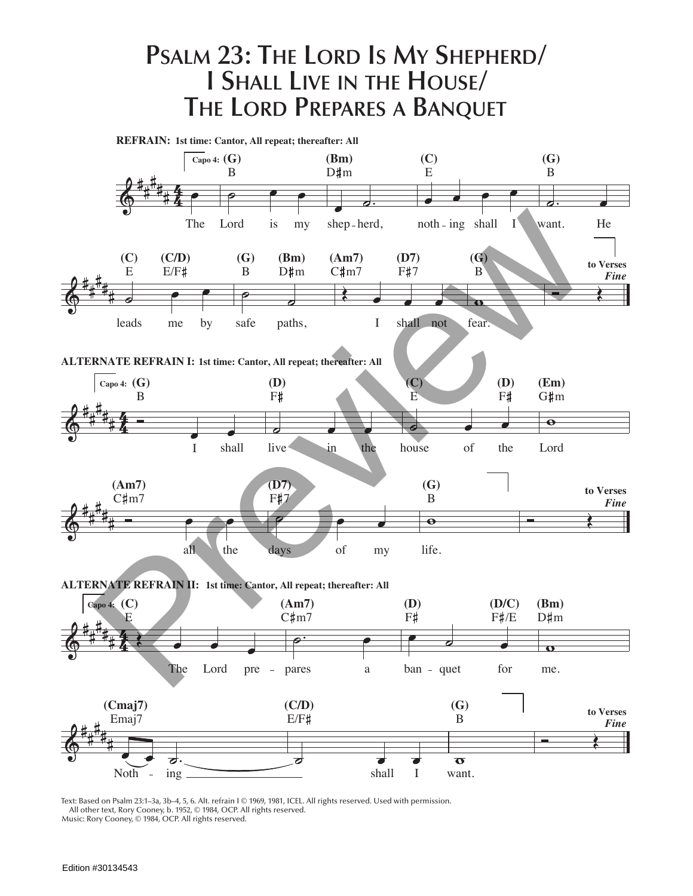## **Psalm 23: The Lord Is My Shepherd/ I Shall Live in the House/ The Lord Prepares a Banquet**



Text: Based on Psalm 23:1–3a, 3b–4, 5, 6. Alt. refrain I © 1969, 1981, ICEL. All rights reserved. Used with permission. All other text, Rory Cooney, b. 1952, © 1984, OCP. All rights reserved.

Music: Rory Cooney, © 1984, OCP. All rights reserved.